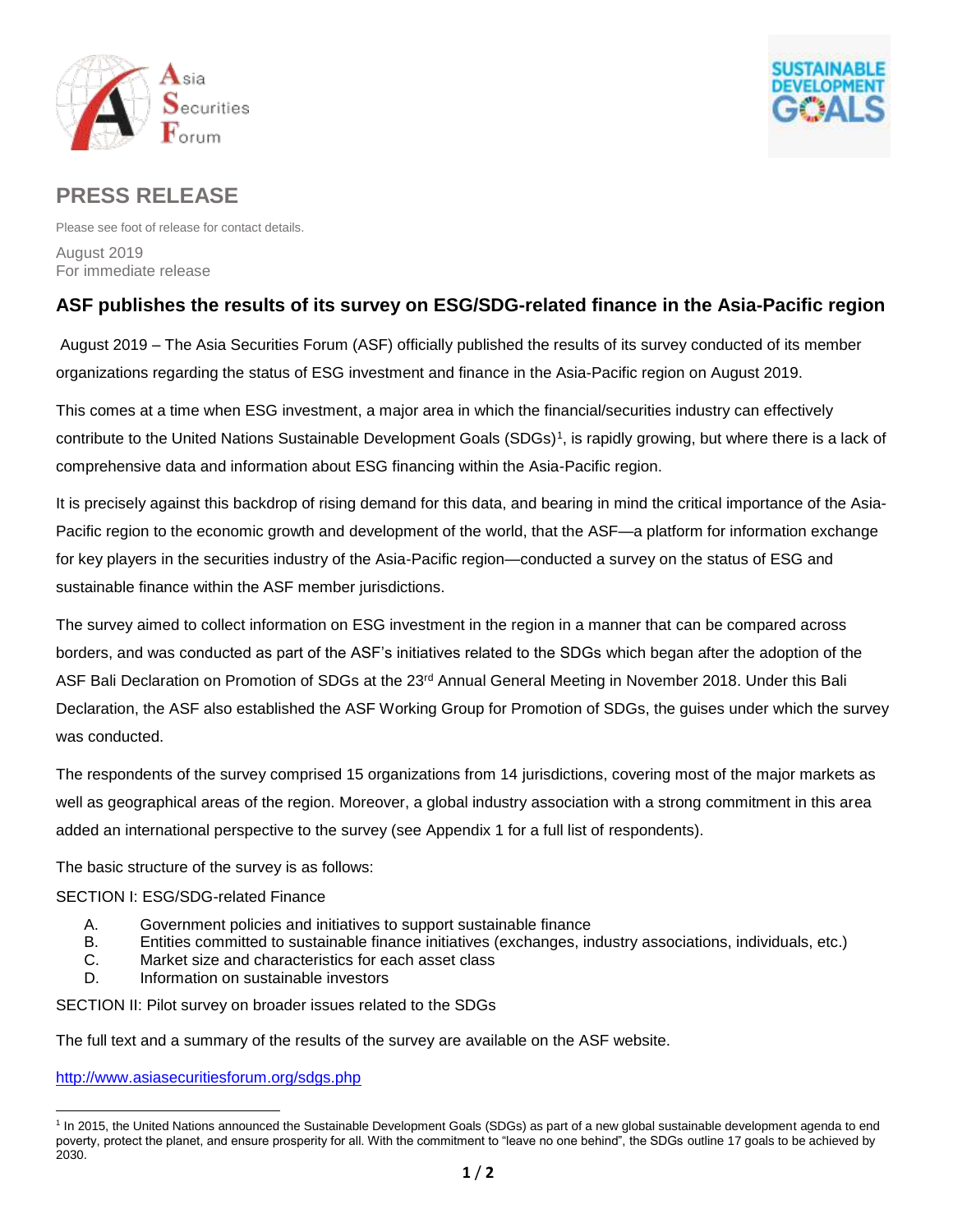



# **PRESS RELEASE**

Please see foot of release for contact details. August 2019 For immediate release

## **ASF publishes the results of its survey on ESG/SDG-related finance in the Asia-Pacific region**

August 2019 – The Asia Securities Forum (ASF) officially published the results of its survey conducted of its member organizations regarding the status of ESG investment and finance in the Asia-Pacific region on August 2019.

This comes at a time when ESG investment, a major area in which the financial/securities industry can effectively contribute to the United Nations Sustainable Development Goals (SDGs)<sup>1</sup>, is rapidly growing, but where there is a lack of comprehensive data and information about ESG financing within the Asia-Pacific region.

It is precisely against this backdrop of rising demand for this data, and bearing in mind the critical importance of the Asia-Pacific region to the economic growth and development of the world, that the ASF—a platform for information exchange for key players in the securities industry of the Asia-Pacific region—conducted a survey on the status of ESG and sustainable finance within the ASF member jurisdictions.

The survey aimed to collect information on ESG investment in the region in a manner that can be compared across borders, and was conducted as part of the ASF's initiatives related to the SDGs which began after the adoption of the ASF Bali Declaration on Promotion of SDGs at the 23<sup>rd</sup> Annual General Meeting in November 2018. Under this Bali Declaration, the ASF also established the ASF Working Group for Promotion of SDGs, the guises under which the survey was conducted.

The respondents of the survey comprised 15 organizations from 14 jurisdictions, covering most of the major markets as well as geographical areas of the region. Moreover, a global industry association with a strong commitment in this area added an international perspective to the survey (see Appendix 1 for a full list of respondents).

The basic structure of the survey is as follows:

#### SECTION I: ESG/SDG-related Finance

- A. Government policies and initiatives to support sustainable finance
- B. Entities committed to sustainable finance initiatives (exchanges, industry associations, individuals, etc.)
- C. Market size and characteristics for each asset class
- D. Information on sustainable investors

SECTION II: Pilot survey on broader issues related to the SDGs

The full text and a summary of the results of the survey are available on the ASF website.

<http://www.asiasecuritiesforum.org/sdgs.php>

 $\overline{a}$ <sup>1</sup> In 2015, the United Nations announced the Sustainable Development Goals (SDGs) as part of a new global sustainable development agenda to end poverty, protect the planet, and ensure prosperity for all. With the commitment to "leave no one behind", the SDGs outline 17 goals to be achieved by 2030.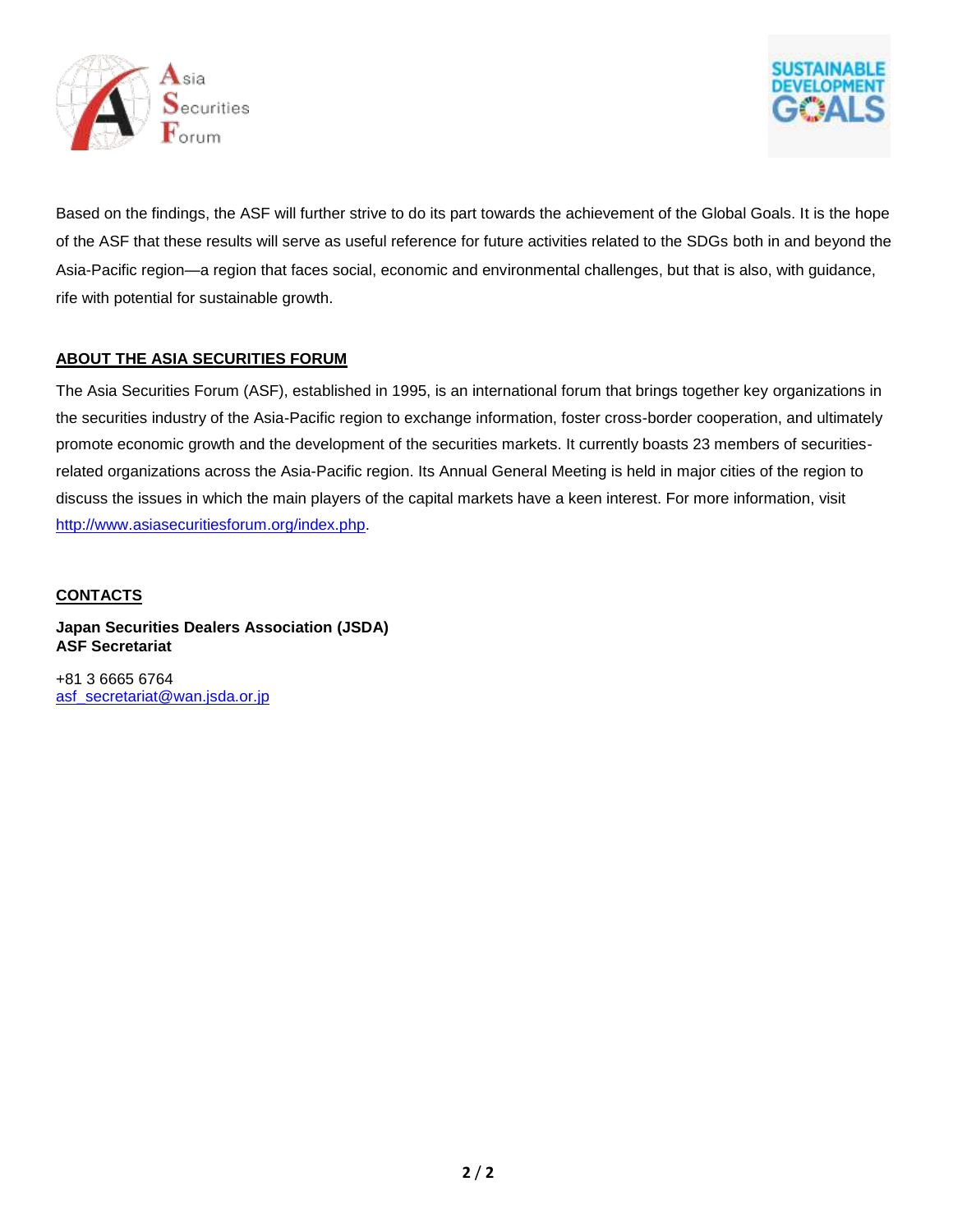



Based on the findings, the ASF will further strive to do its part towards the achievement of the Global Goals. It is the hope of the ASF that these results will serve as useful reference for future activities related to the SDGs both in and beyond the Asia-Pacific region—a region that faces social, economic and environmental challenges, but that is also, with guidance, rife with potential for sustainable growth.

#### **ABOUT THE ASIA SECURITIES FORUM**

The Asia Securities Forum (ASF), established in 1995, is an international forum that brings together key organizations in the securities industry of the Asia-Pacific region to exchange information, foster cross-border cooperation, and ultimately promote economic growth and the development of the securities markets. It currently boasts 23 members of securitiesrelated organizations across the Asia-Pacific region. Its Annual General Meeting is held in major cities of the region to discuss the issues in which the main players of the capital markets have a keen interest. For more information, visit [http://www.asiasecuritiesforum.org/index.php.](http://www.asiasecuritiesforum.org/index.php)

#### **CONTACTS**

**Japan Securities Dealers Association (JSDA) ASF Secretariat**

+81 3 6665 6764 [asf\\_secretariat@wan.jsda.or.jp](mailto:asf_secretariat@wan.jsda.or.jp)